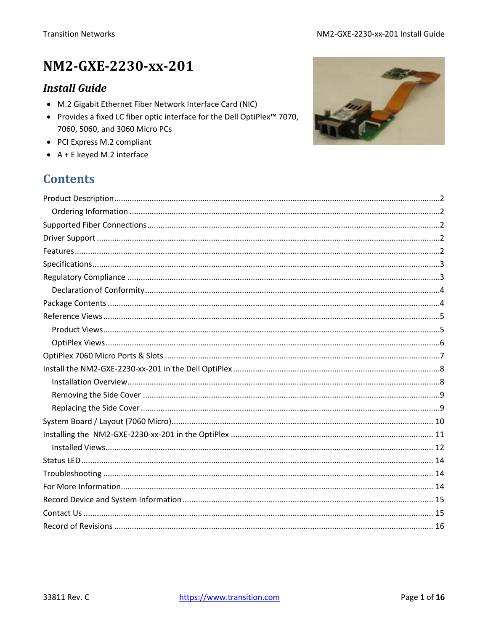# NM2-GXE-2230-xx-201

### **Install Guide**

- M.2 Gigabit Ethernet Fiber Network Interface Card (NIC)
- Provides a fixed LC fiber optic interface for the Dell OptiPlex<sup>™</sup> 7070, 7060, 5060, and 3060 Micro PCs
- PCI Express M.2 compliant
- $\bullet$  A + E keyed M.2 interface

### **Contents**

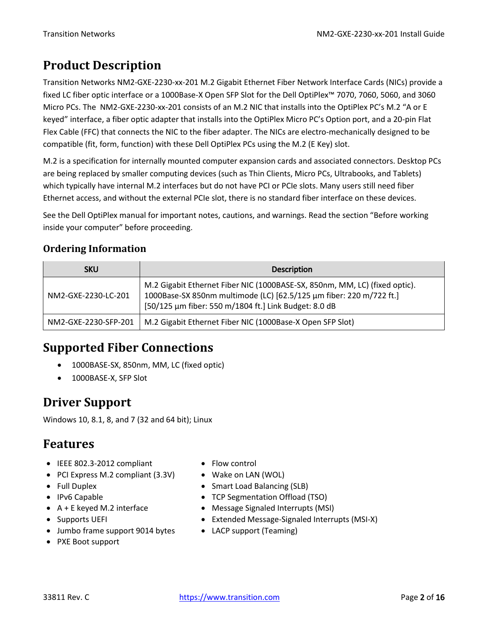# <span id="page-1-0"></span>**Product Description**

Transition Networks NM2-GXE-2230-xx-201 M.2 Gigabit Ethernet Fiber Network Interface Cards (NICs) provide a fixed LC fiber optic interface or a 1000Base‐X Open SFP Slot for the Dell OptiPlex™ 7070, 7060, 5060, and 3060 Micro PCs. The NM2-GXE-2230-xx-201 consists of an M.2 NIC that installs into the OptiPlex PC's M.2 "A or E keyed" interface, a fiber optic adapter that installs into the OptiPlex Micro PC's Option port, and a 20-pin Flat Flex Cable (FFC) that connects the NIC to the fiber adapter. The NICs are electro-mechanically designed to be compatible (fit, form, function) with these Dell OptiPlex PCs using the M.2 (E Key) slot.

M.2 is a specification for internally mounted computer expansion cards and associated connectors. Desktop PCs are being replaced by smaller computing devices (such as Thin Clients, Micro PCs, Ultrabooks, and Tablets) which typically have internal M.2 interfaces but do not have PCI or PCIe slots. Many users still need fiber Ethernet access, and without the external PCIe slot, there is no standard fiber interface on these devices.

See the Dell OptiPlex manual for important notes, cautions, and warnings. Read the section "Before working inside your computer" before proceeding.

### <span id="page-1-1"></span>**Ordering Information**

| <b>SKU</b>           | <b>Description</b>                                                                                                                                                                                         |
|----------------------|------------------------------------------------------------------------------------------------------------------------------------------------------------------------------------------------------------|
| NM2-GXE-2230-LC-201  | M.2 Gigabit Ethernet Fiber NIC (1000BASE-SX, 850nm, MM, LC) (fixed optic).<br>1000Base-SX 850nm multimode (LC) [62.5/125 μm fiber: 220 m/722 ft.]<br>[50/125 μm fiber: 550 m/1804 ft.] Link Budget: 8.0 dB |
| NM2-GXE-2230-SFP-201 | M.2 Gigabit Ethernet Fiber NIC (1000Base-X Open SFP Slot)                                                                                                                                                  |

## <span id="page-1-2"></span>**Supported Fiber Connections**

- 1000BASE-SX, 850nm, MM, LC (fixed optic)
- 1000BASE‐X, SFP Slot

# <span id="page-1-3"></span>**Driver Support**

Windows 10, 8.1, 8, and 7 (32 and 64 bit); Linux

## <span id="page-1-4"></span>**Features**

- IEEE 802.3-2012 compliant
- PCI Express M.2 compliant (3.3V)
- Full Duplex
- IPv6 Capable
- A + E keyed M.2 interface
- Supports UEFI
- Jumbo frame support 9014 bytes
- PXE Boot support
- Flow control
- Wake on LAN (WOL)
- Smart Load Balancing (SLB)
- TCP Segmentation Offload (TSO)
- Message Signaled Interrupts (MSI)
- Extended Message-Signaled Interrupts (MSI-X)
- LACP support (Teaming)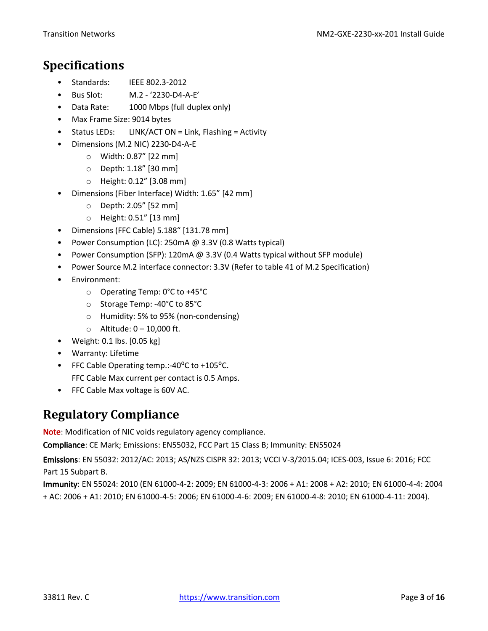### <span id="page-2-0"></span>**Specifications**

- Standards: IEEE 802.3-2012
- Bus Slot: M.2 '2230-D4-A-E'
- Data Rate: 1000 Mbps (full duplex only)
- Max Frame Size: 9014 bytes
- Status LEDs: LINK/ACT ON = Link, Flashing = Activity
- Dimensions (M.2 NIC) 2230-D4-A-E
	- o Width: 0.87" [22 mm]
	- o Depth: 1.18" [30 mm]
	- o Height: 0.12" [3.08 mm]
- Dimensions (Fiber Interface) Width: 1.65" [42 mm]
	- o Depth: 2.05" [52 mm]
	- o Height: 0.51" [13 mm]
- Dimensions (FFC Cable) 5.188" [131.78 mm]
- Power Consumption (LC): 250mA @ 3.3V (0.8 Watts typical)
- Power Consumption (SFP): 120mA @ 3.3V (0.4 Watts typical without SFP module)
- Power Source M.2 interface connector: 3.3V (Refer to table 41 of M.2 Specification)
- Environment:
	- o Operating Temp: 0°C to +45°C
	- o Storage Temp: -40°C to 85°C
	- o Humidity: 5% to 95% (non-condensing)
	- $\circ$  Altitude:  $0 10,000$  ft.
- Weight: 0.1 lbs. [0.05 kg]
- Warranty: Lifetime
- FFC Cable Operating temp.:-40 $^{\circ}$ C to +105 $^{\circ}$ C. FFC Cable Max current per contact is 0.5 Amps.
- FFC Cable Max voltage is 60V AC.

## <span id="page-2-1"></span>**Regulatory Compliance**

Note: Modification of NIC voids regulatory agency compliance.

Compliance: CE Mark; Emissions: EN55032, FCC Part 15 Class B; Immunity: EN55024

Emissions: EN 55032: 2012/AC: 2013; AS/NZS CISPR 32: 2013; VCCI V-3/2015.04; ICES-003, Issue 6: 2016; FCC Part 15 Subpart B.

Immunity: EN 55024: 2010 (EN 61000-4-2: 2009; EN 61000-4-3: 2006 + A1: 2008 + A2: 2010; EN 61000-4-4: 2004 + AC: 2006 + A1: 2010; EN 61000-4-5: 2006; EN 61000-4-6: 2009; EN 61000-4-8: 2010; EN 61000-4-11: 2004).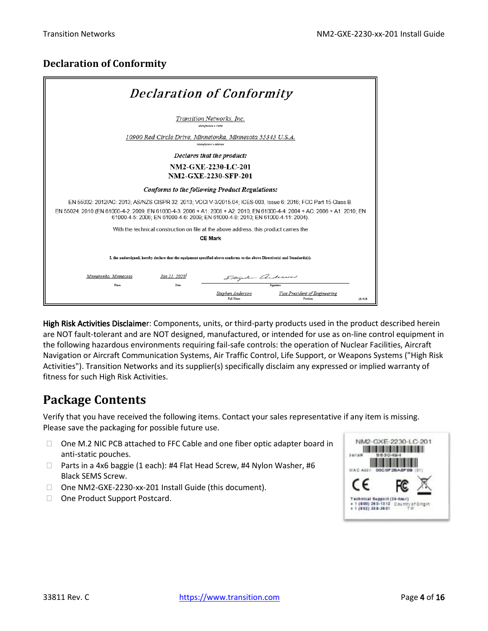### <span id="page-3-0"></span>**Declaration of Conformity**

| <b>Declaration of Conformity</b>                                                                                                                                                                                                                                                                                                |
|---------------------------------------------------------------------------------------------------------------------------------------------------------------------------------------------------------------------------------------------------------------------------------------------------------------------------------|
| Transition Networks, Inc.<br>Manufacture's Name                                                                                                                                                                                                                                                                                 |
| 10900 Red Circle Drive, Minnetonka, Minnesota 55343 U.S.A.<br>Manufacture's Address                                                                                                                                                                                                                                             |
| Declares that the product:                                                                                                                                                                                                                                                                                                      |
| NM2-GXE-2230-LC-201<br><b>NM2-GXE-2230-SFP-201</b>                                                                                                                                                                                                                                                                              |
| Conforms to the following Product Regulations:                                                                                                                                                                                                                                                                                  |
| EN 55032: 2012/AC: 2013; AS/NZS CISPR 32: 2013; VCCI V-3/2015.04; ICES-003, Issue 6: 2016; FCC Part 15 Class B.<br>EN 55024: 2010 (EN 61000-4-2: 2009: EN 61000-4-3: 2006 + A1: 2008 + A2: 2010: EN 61000-4-4: 2004 + AC: 2006 + A1: 2010: EN<br>61000-4-5: 2006; EN 61000-4-6: 2009; EN 61000-4-8: 2010; EN 61000-4-11: 2004). |
| With the technical construction on file at the above address, this product carries the                                                                                                                                                                                                                                          |
| <b>CE Mark</b>                                                                                                                                                                                                                                                                                                                  |
| I, the undersigned, hereby declare that the equipment specified above conforms to the above Directive(s) and Standards(s).                                                                                                                                                                                                      |
| Minnetonka, Minnesota<br>Jan 21, 2020)<br>Stephen anderson                                                                                                                                                                                                                                                                      |
| Place<br>Date<br>Signaturo                                                                                                                                                                                                                                                                                                      |
| Vice President of Engineering<br>Stephen Anderson<br>Full Name<br>Position<br>28141B                                                                                                                                                                                                                                            |

High Risk Activities Disclaimer: Components, units, or third-party products used in the product described herein are NOT fault-tolerant and are NOT designed, manufactured, or intended for use as on-line control equipment in the following hazardous environments requiring fail-safe controls: the operation of Nuclear Facilities, Aircraft Navigation or Aircraft Communication Systems, Air Traffic Control, Life Support, or Weapons Systems ("High Risk Activities"). Transition Networks and its supplier(s) specifically disclaim any expressed or implied warranty of fitness for such High Risk Activities.

### <span id="page-3-1"></span>**Package Contents**

Verify that you have received the following items. Contact your sales representative if any item is missing. Please save the packaging for possible future use.

- $\Box$  One M.2 NIC PCB attached to FFC Cable and one fiber optic adapter board in anti-static pouches.
- □ Parts in a 4x6 baggie (1 each): #4 Flat Head Screw, #4 Nylon Washer, #6 Black SEMS Screw.
- □ One NM2-GXE-2230-xx-201 Install Guide (this document).
- □ One Product Support Postcard.

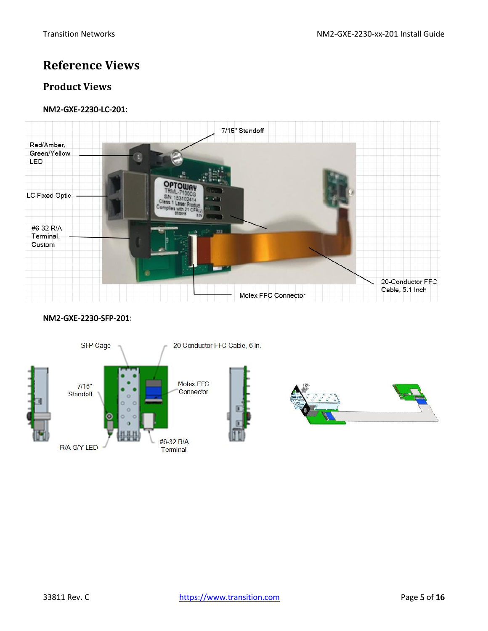### <span id="page-4-0"></span>**Reference Views**

### <span id="page-4-1"></span>**Product Views**

#### NM2-GXE-2230-LC-201:



#### NM2-GXE-2230-SFP-201:

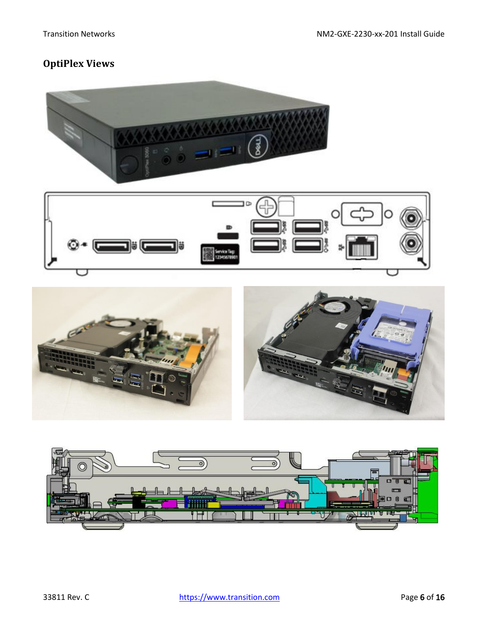## <span id="page-5-0"></span>**OptiPlex Views**







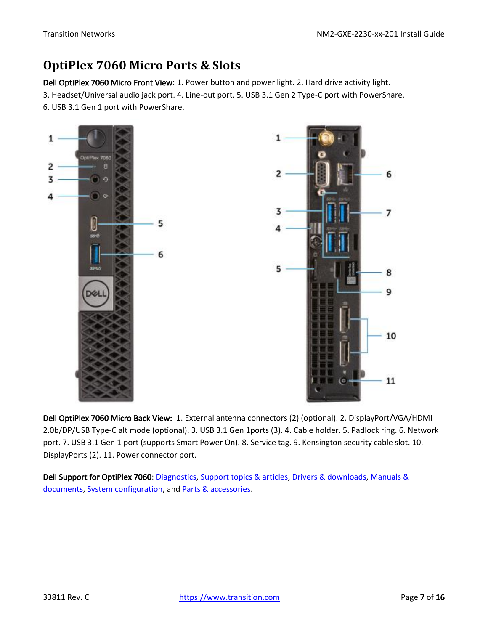## <span id="page-6-0"></span>**OptiPlex 7060 Micro Ports & Slots**

Dell OptiPlex 7060 Micro Front View: 1. Power button and power light. 2. Hard drive activity light. 3. Headset/Universal audio jack port. 4. Line-out port. 5. USB 3.1 Gen 2 Type-C port with PowerShare. 6. USB 3.1 Gen 1 port with PowerShare.



Dell OptiPlex 7060 Micro Back View: 1. External antenna connectors (2) (optional). 2. DisplayPort/VGA/HDMI 2.0b/DP/USB Type-C alt mode (optional). 3. USB 3.1 Gen 1ports (3). 4. Cable holder. 5. Padlock ring. 6. Network port. 7. USB 3.1 Gen 1 port (supports Smart Power On). 8. Service tag. 9. Kensington security cable slot. 10. DisplayPorts (2). 11. Power connector port.

Dell Support for OptiPlex 7060[: Diagnostics,](http://www.dell.com/support/home/us/en/04/product-support/product/optiplex-7060-desktop/diagnose) [Support topics & articles,](http://www.dell.com/support/home/us/en/04/product-support/product/optiplex-7060-desktop/research) [Drivers & downloads,](http://www.dell.com/support/home/us/en/04/product-support/product/optiplex-7060-desktop/drivers) [Manuals &](http://www.dell.com/support/home/us/en/04/product-support/product/optiplex-7060-desktop/manuals)  [documents,](http://www.dell.com/support/home/us/en/04/product-support/product/optiplex-7060-desktop/manuals) [System configuration,](http://www.dell.com/support/home/us/en/04/product-support/product/optiplex-7060-desktop/configuration) an[d Parts & accessories.](http://www.dell.com/support/home/us/en/04/product-support/product/optiplex-7060-desktop/upgrade)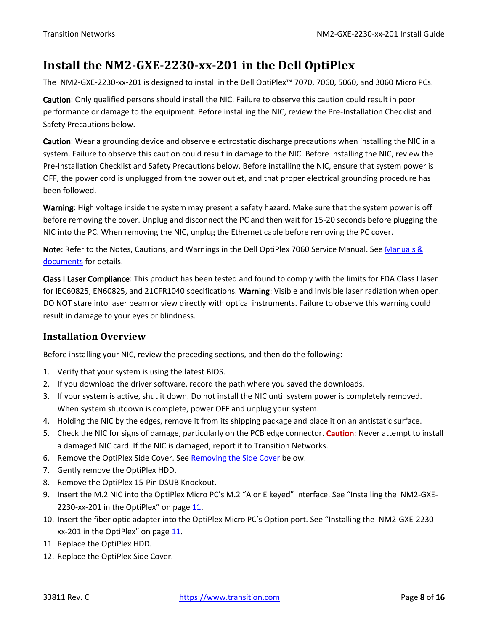### <span id="page-7-0"></span>**Install the NM2-GXE-2230-xx-201 in the Dell OptiPlex**

The NM2-GXE-2230-xx-201 is designed to install in the Dell OptiPlex™ 7070, 7060, 5060, and 3060 Micro PCs.

Caution: Only qualified persons should install the NIC. Failure to observe this caution could result in poor performance or damage to the equipment. Before installing the NIC, review the Pre-Installation Checklist and Safety Precautions below.

Caution: Wear a grounding device and observe electrostatic discharge precautions when installing the NIC in a system. Failure to observe this caution could result in damage to the NIC. Before installing the NIC, review the Pre-Installation Checklist and Safety Precautions below. Before installing the NIC, ensure that system power is OFF, the power cord is unplugged from the power outlet, and that proper electrical grounding procedure has been followed.

Warning: High voltage inside the system may present a safety hazard. Make sure that the system power is off before removing the cover. Unplug and disconnect the PC and then wait for 15-20 seconds before plugging the NIC into the PC. When removing the NIC, unplug the Ethernet cable before removing the PC cover.

Note: Refer to the Notes, Cautions, and Warnings in the Dell OptiPlex 7060 Service Manual. See Manuals & [documents](http://www.dell.com/support/home/us/en/04/product-support/product/optiplex-7060-desktop/manuals) for details.

Class I Laser Compliance: This product has been tested and found to comply with the limits for FDA Class I laser for IEC60825, EN60825, and 21CFR1040 specifications. Warning: Visible and invisible laser radiation when open. DO NOT stare into laser beam or view directly with optical instruments. Failure to observe this warning could result in damage to your eyes or blindness.

### <span id="page-7-1"></span>**Installation Overview**

Before installing your NIC, review the preceding sections, and then do the following:

- 1. Verify that your system is using the latest BIOS.
- 2. If you download the driver software, record the path where you saved the downloads.
- 3. If your system is active, shut it down. Do not install the NIC until system power is completely removed. When system shutdown is complete, power OFF and unplug your system.
- 4. Holding the NIC by the edges, remove it from its shipping package and place it on an antistatic surface.
- 5. Check the NIC for signs of damage, particularly on the PCB edge connector. Caution: Never attempt to install a damaged NIC card. If the NIC is damaged, report it to Transition Networks.
- 6. Remove the OptiPlex Side Cover. See Removing the Side Cover below.
- 7. Gently remove the OptiPlex HDD.
- 8. Remove the OptiPlex 15-Pin DSUB Knockout.
- 9. Insert the M.2 NIC into the OptiPlex Micro PC's M.2 "A or E keyed" interface. See "[Installing the NM2-GXE-](#page-10-0)2230-xx-201 [in the OptiPlex](#page-10-0)" on page [11.](#page-10-0)
- 10. Insert the fiber optic adapter into the OptiPlex Micro PC's Option port. See "[Installing the NM2-GXE-2230](#page-10-0) xx-201 [in the OptiPlex](#page-10-0)" on page [11.](#page-10-0)
- 11. Replace the OptiPlex HDD.
- 12. Replace the OptiPlex Side Cover.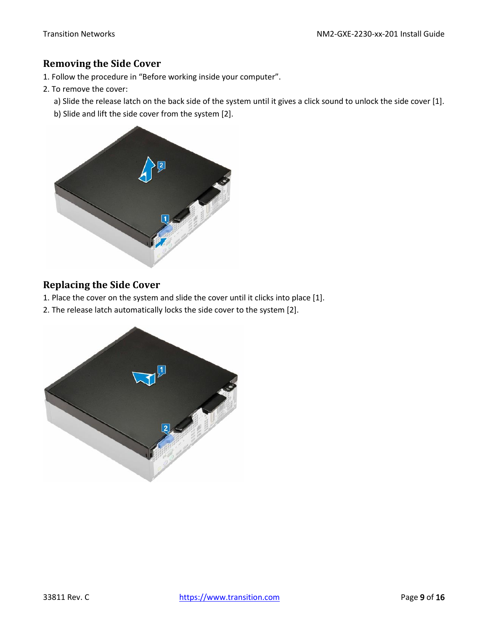#### <span id="page-8-0"></span>**Removing the Side Cover**

- 1. Follow the procedure in "Before working inside your computer".
- 2. To remove the cover:
	- a) Slide the release latch on the back side of the system until it gives a click sound to unlock the side cover [1].
	- b) Slide and lift the side cover from the system [2].



### <span id="page-8-1"></span>**Replacing the Side Cover**

- 1. Place the cover on the system and slide the cover until it clicks into place [1].
- 2. The release latch automatically locks the side cover to the system [2].

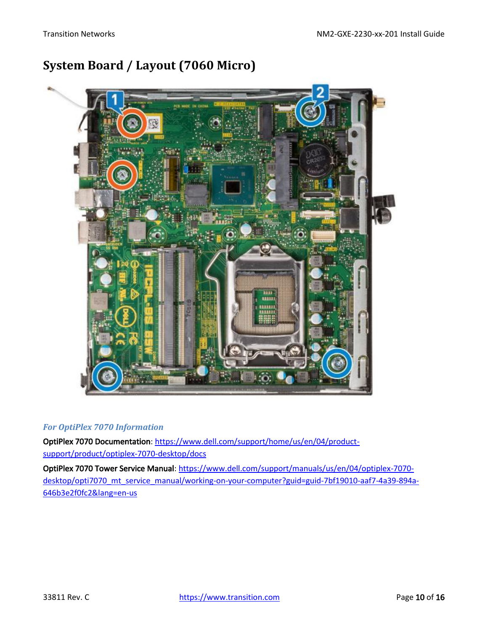# <span id="page-9-0"></span>**System Board / Layout (7060 Micro)**



#### *For OptiPlex 7070 Information*

OptiPlex 7070 Documentation: [https://www.dell.com/support/home/us/en/04/product](https://www.dell.com/support/home/us/en/04/product-support/product/optiplex-7070-desktop/docs)[support/product/optiplex-7070-desktop/docs](https://www.dell.com/support/home/us/en/04/product-support/product/optiplex-7070-desktop/docs)

OptiPlex 7070 Tower Service Manual: [https://www.dell.com/support/manuals/us/en/04/optiplex-7070](https://www.dell.com/support/manuals/us/en/04/optiplex-7070-desktop/opti7070_mt_service_manual/working-on-your-computer?guid=guid-7bf19010-aaf7-4a39-894a-646b3e2f0fc2&lang=en-us) desktop/opti7070 mt service manual/working-on-your-computer?guid=guid-7bf19010-aaf7-4a39-894a-[646b3e2f0fc2&lang=en-us](https://www.dell.com/support/manuals/us/en/04/optiplex-7070-desktop/opti7070_mt_service_manual/working-on-your-computer?guid=guid-7bf19010-aaf7-4a39-894a-646b3e2f0fc2&lang=en-us)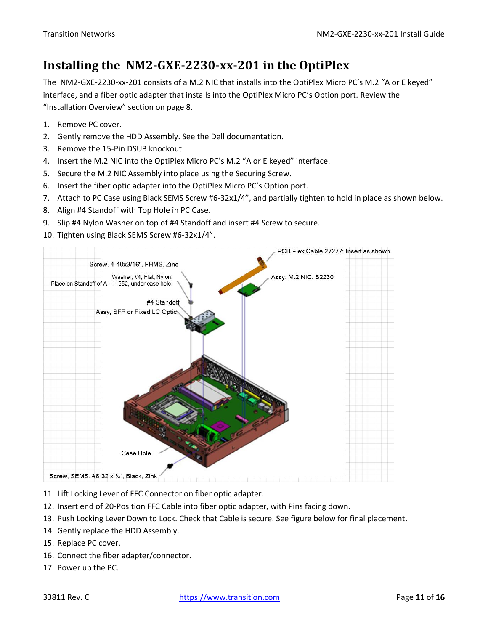# <span id="page-10-0"></span>**Installing the NM2-GXE-2230-xx-201 in the OptiPlex**

The NM2-GXE-2230-xx-201 consists of a M.2 NIC that installs into the OptiPlex Micro PC's M.2 "A or E keyed" interface, and a fiber optic adapter that installs into the OptiPlex Micro PC's Option port. Review the "[Installation Overview](#page-7-1)" section on pag[e 8.](#page-7-1)

- 1. Remove PC cover.
- 2. Gently remove the HDD Assembly. See the Dell documentation.
- 3. Remove the 15-Pin DSUB knockout.
- 4. Insert the M.2 NIC into the OptiPlex Micro PC's M.2 "A or E keyed" interface.
- 5. Secure the M.2 NIC Assembly into place using the Securing Screw.
- 6. Insert the fiber optic adapter into the OptiPlex Micro PC's Option port.
- 7. Attach to PC Case using Black SEMS Screw #6-32x1/4", and partially tighten to hold in place as shown below.
- 8. Align #4 Standoff with Top Hole in PC Case.
- 9. Slip #4 Nylon Washer on top of #4 Standoff and insert #4 Screw to secure.
- 10. Tighten using Black SEMS Screw #6-32x1/4".



- 11. Lift Locking Lever of FFC Connector on fiber optic adapter.
- 12. Insert end of 20-Position FFC Cable into fiber optic adapter, with Pins facing down.
- 13. Push Locking Lever Down to Lock. Check that Cable is secure. See figure below for final placement.
- 14. Gently replace the HDD Assembly.
- 15. Replace PC cover.
- 16. Connect the fiber adapter/connector.
- 17. Power up the PC.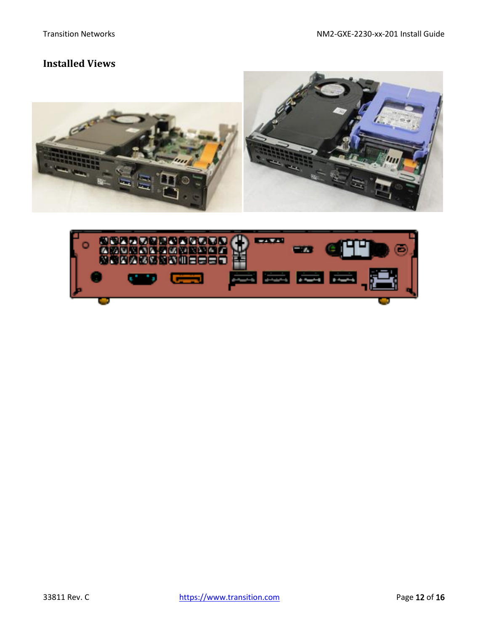### <span id="page-11-0"></span>**Installed Views**



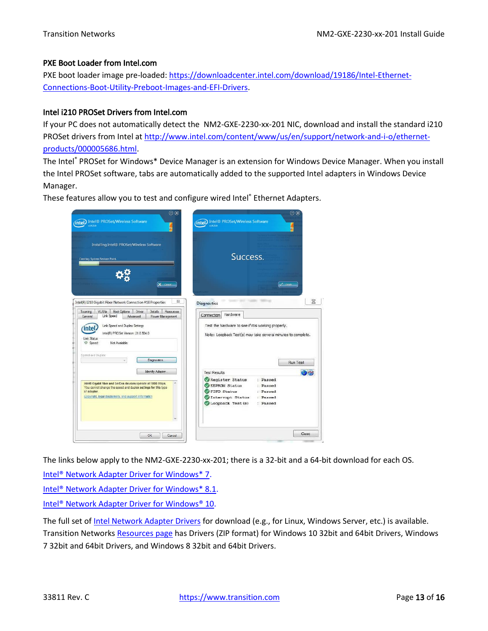#### PXE Boot Loader from Intel.com

PXE boot loader image pre-loaded: [https://downloadcenter.intel.com/download/19186/Intel-Ethernet-](https://downloadcenter.intel.com/download/19186/Intel-Ethernet-Connections-Boot-Utility-Preboot-Images-and-EFI-Drivers)[Connections-Boot-Utility-Preboot-Images-and-EFI-Drivers.](https://downloadcenter.intel.com/download/19186/Intel-Ethernet-Connections-Boot-Utility-Preboot-Images-and-EFI-Drivers)

#### Intel i210 PROSet Drivers from Intel.com

If your PC does not automatically detect the NM2-GXE-2230-xx-201 NIC, download and install the standard i210 PROSet drivers from Intel at [http://www.intel.com/content/www/us/en/support/network-and-i-o/ethernet](http://www.intel.com/content/www/us/en/support/network-and-i-o/ethernet-products/000005686.html)[products/000005686.html.](http://www.intel.com/content/www/us/en/support/network-and-i-o/ethernet-products/000005686.html)

The Intel® PROSet for Windows\* Device Manager is an extension for Windows Device Manager. When you install the Intel PROSet software, tabs are automatically added to the supported Intel adapters in Windows Device Manager.

These features allow you to test and configure wired Intel® Ethernet Adapters.



The links below apply to the NM2-GXE-2230-xx-201; there is a 32-bit and a 64-bit download for each OS.

[Intel® Network Adapter Driver for Windows\\* 7.](https://downloadcenter.intel.com/download/18713/Ethernet-Intel-Network-Adapter-Driver-for-Windows-7?product=36773) [Intel® Network Adapter Driver for Windows\\* 8.1.](https://downloadcenter.intel.com/download/23071/Ethernet-Intel-Network-Adapter-Driver-for-Windows-8-1?product=36773) [Intel® Network Adapter Driver for](https://downloadcenter.intel.com/download/25016/Intel-Network-Adapter-Driver-for-Windows-10?product=36773) Windows® 10.

The full set of [Intel Network Adapter Drivers](https://downloadcenter.intel.com/search?keyword=Network+Adapter+Driver) for download (e.g., for Linux, Windows Server, etc.) is available. Transition Networks [Resources page](https://www.transition.com/products/network-adapters/nm2-gxe-2230-xx-01/) has Drivers (ZIP format) for Windows 10 32bit and 64bit Drivers, Windows 7 32bit and 64bit Drivers, and Windows 8 32bit and 64bit Drivers.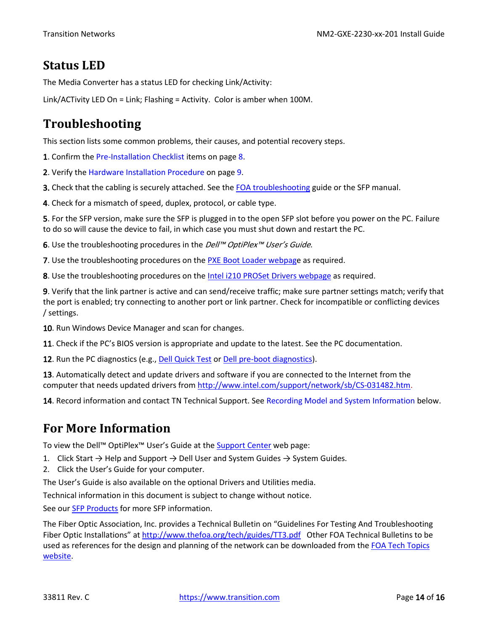### <span id="page-13-0"></span>**Status LED**

The Media Converter has a status LED for checking Link/Activity:

Link/ACTivity LED On = Link; Flashing = Activity. Color is amber when 100M.

# <span id="page-13-1"></span>**Troubleshooting**

This section lists some common problems, their causes, and potential recovery steps.

1. Confirm the Pre-Installation Checklist items on page 8.

2. Verify the Hardware Installation Procedure on page 9.

3. Check that the cabling is securely attached. See the [FOA troubleshooting](http://www.thefoa.org/tech/guides/TT3.pdf) guide or the SFP manual.

4. Check for a mismatch of speed, duplex, protocol, or cable type.

5. For the SFP version, make sure the SFP is plugged in to the open SFP slot before you power on the PC. Failure to do so will cause the device to fail, in which case you must shut down and restart the PC.

6. Use the troubleshooting procedures in the *Dell™ OptiPlex™ User's Guide*.

7. Use the troubleshooting procedures on th[e PXE Boot Loader webpage](https://downloadcenter.intel.com/download/19186/Intel-Ethernet-Connections-Boot-Utility-Preboot-Images-and-EFI-Drivers) as required.

8. Use the troubleshooting procedures on th[e Intel i210 PROSet Drivers webpage](http://www.intel.com/content/www/us/en/support/network-and-i-o/ethernet-products/000005686.html) as required.

9. Verify that the link partner is active and can send/receive traffic; make sure partner settings match; verify that the port is enabled; try connecting to another port or link partner. Check for incompatible or conflicting devices / settings.

10. Run Windows Device Manager and scan for changes.

11. Check if the PC's BIOS version is appropriate and update to the latest. See the PC documentation.

12. Run the PC diagnostics (e.g., [Dell Quick Test](http://www.dell.com/support/home/us/en/4/quicktest) or [Dell pre-boot diagnostics\)](http://www.dell.com/support/Article/us/en/4/266787).

13. Automatically detect and update drivers and software if you are connected to the Internet from the computer that needs updated drivers from [http://www.intel.com/support/network/sb/CS-031482.htm.](http://www.intel.com/support/network/sb/CS-031482.htm)

14. Record information and contact TN Technical Support. See Recording Model and System Information below.

### <span id="page-13-2"></span>**For More Information**

To view the Dell™ OptiPlex<sup>™</sup> User's Guide at the [Support Center](http://www.dell.com/en-us/work/shop/productdetails/optiplex-7050-micro?ref=PD_OC) web page:

1. Click Start  $\rightarrow$  Help and Support  $\rightarrow$  Dell User and System Guides  $\rightarrow$  System Guides.

2. Click the User's Guide for your computer.

The User's Guide is also available on the optional Drivers and Utilities media.

Technical information in this document is subject to change without notice.

See our [SFP Products](https://www.transition.com/lines/optical-devices/?fwp_platform=platform-sfp) for more SFP information.

The Fiber Optic Association, Inc. provides a Technical Bulletin on "Guidelines For Testing And Troubleshooting Fiber Optic Installations" at <http://www.thefoa.org/tech/guides/TT3.pdf>Other FOA Technical Bulletins to be used as references for the design and planning of the network can be downloaded from the FOA Tech Topics [website.](http://www.thefoa.org/tech/)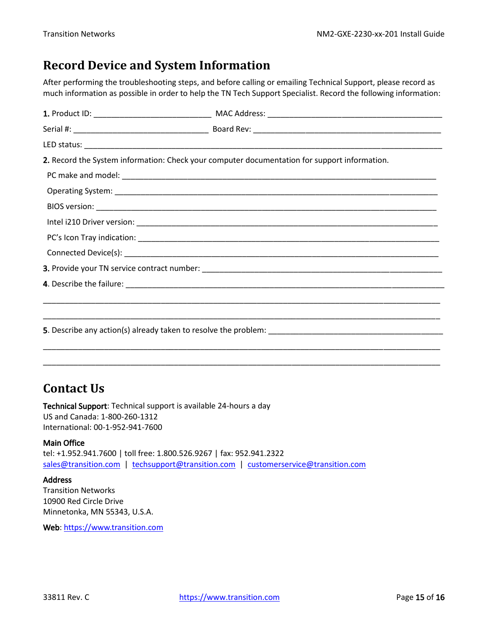## <span id="page-14-0"></span>**Record Device and System Information**

After performing the troubleshooting steps, and before calling or emailing Technical Support, please record as much information as possible in order to help the TN Tech Support Specialist. Record the following information:

| 2. Record the System information: Check your computer documentation for support information. |
|----------------------------------------------------------------------------------------------|
|                                                                                              |
|                                                                                              |
|                                                                                              |
|                                                                                              |
|                                                                                              |
|                                                                                              |
|                                                                                              |
|                                                                                              |
|                                                                                              |
|                                                                                              |
|                                                                                              |
|                                                                                              |
|                                                                                              |

## <span id="page-14-1"></span>**Contact Us**

Technical Support: Technical support is available 24-hours a day US and Canada: 1-800-260-1312 International: 00-1-952-941-7600

#### Main Office

tel: +1.952.941.7600 | toll free: 1.800.526.9267 | fax: 952.941.2322 sales@transition.com | techsupport@transition.com | customerservice@transition.com

#### **Address**

Transition Networks 10900 Red Circle Drive Minnetonka, MN 55343, U.S.A.

Web: https://www.transition.com